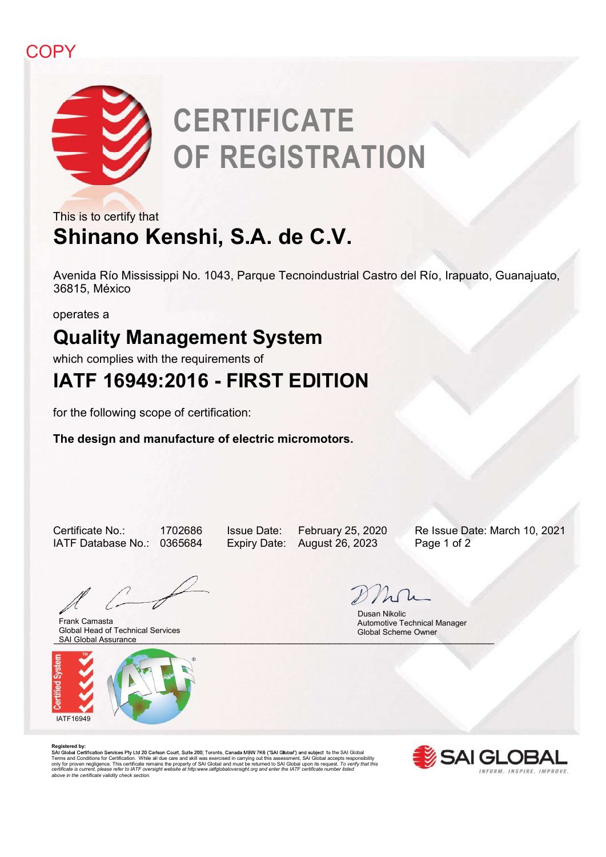## **COPY**



# This is to certify that<br>
This is to certify that<br>
Shinano Kenshi, S.A. de C.V.<br>
Avenida Río Mississippi No. 1043, Parque Tecnoindustrial Castro del Río, Irapuato, Guanajuato,<br>
36815, México<br>
operates a<br>
Quality Management PY<br> **Avenida Río CERTIFICATE**<br> **Avenida Río Mississippi No. 1043, Parque Tecnoindustrial Castro del Río, Irapuato, Guanajuato,<br>
Avenida Río Mississippi No. 1043, Parque Tecnoindustrial Castro del Río, Irapuato, Guanajuato, CERTIFICATE** OF REGISTRATION

## Shinano Kenshi, S.A. de C.V. This is to certify that

36815, México Avenida Río Mississippi No. 1043, Parque Tecnoindustrial Castro del Río, Irapuato, Guanajuato,<br>
36815, México<br>
operates a<br> **Quality Management System**<br>
which complies with the requirements of<br> **IATF 16949:2016 - FIRST EDIT** Nextring To Hoster Chen, Talgue Technicus and Certific Technicus and Certification, Colomispacio, 2001<br>
Operates a<br> **Quality Management System**<br>
Which complies with the requirements of<br>
IATF 16949:2016 - FIRST EDITION<br>
for

operates a

## Quality Management System

which complies with the requirements of

for the following scope of certification:

The design and manufacture of electric micromotors.

SAI Global Assurance and the contract of the contract of the contract of the contract of the contract of the contract of the contract of the contract of the contract of the contract of the contract of the contract of the c Frank Camasta Global Head of Technical Services



 Dusan Nikolic Automotive Technical Manager Global Scheme Owner

**Registered by:**<br>SAI Global Certification Services Pty Ltd 20 Carlson Court, Suite 200; Toronto, Canada M9W 7K6 ("SAI Global") and subject to the SAI Global Terms and Conditions for Certification. While all due care and skill was exercised in carrying out this assessment, SAI Global accepts responsibility<br>only for proven negligence. This certificate remains the property of SAI